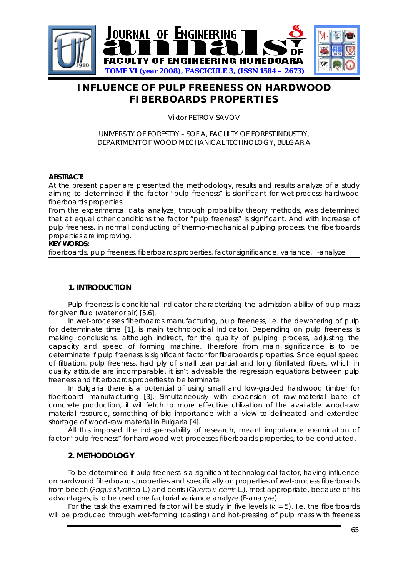

# **INFLUENCE OF PULP FREENESS ON HARDWOOD FIBERBOARDS PROPERTIES**

Viktor PETROV SAVOV

## UNIVERSITY OF FORESTRY – SOFIA, FACULTY OF FOREST INDUSTRY, DEPARTMENT OF WOOD MECHANICAL TECHNOLOGY, BULGARIA

### **ABSTRACT:**

At the present paper are presented the methodology, results and results analyze of a study aiming to determined if the factor "pulp freeness" is significant for wet-process hardwood fiberboards properties.

From the experimental data analyze, through probability theory methods, was determined that at equal other conditions the factor "pulp freeness" is significant. And with increase of pulp freeness, in normal conducting of thermo-mechanical pulping process, the fiberboards properties are improving.

#### **KEY WORDS:**

fiberboards, pulp freeness, fiberboards properties, factor significance, variance, F-analyze

## **1. INTRODUCTION**

Pulp freeness is conditional indicator characterizing the admission ability of pulp mass for given fluid (water or air) [5,6].

In wet-processes fiberboards manufacturing, pulp freeness, i.e. the dewatering of pulp for determinate time [1], is main technological indicator. Depending on pulp freeness is making conclusions, although indirect, for the quality of pulping process, adjusting the capacity and speed of forming machine. Therefore from main significance is to be determinate if pulp freeness is significant factor for fiberboards properties. Since equal speed of filtration, pulp freeness, had ply of small tear partial and long fibrillated fibers, which in quality attitude are incomparable, it isn't advisable the regression equations between pulp freeness and fiberboards properties to be terminate.

In Bulgaria there is a potential of using small and low-graded hardwood timber for fiberboard manufacturing [3]. Simultaneously with expansion of raw-material base of concrete production, it will fetch to more effective utilization of the available wood-raw material resource, something of big importance with a view to delineated and extended shortage of wood-raw material in Bulgaria [4].

All this imposed the indispensability of research, meant importance examination of factor "pulp freeness" for hardwood wet-processes fiberboards properties, to be conducted.

## **2. METHODOLOGY**

To be determined if pulp freeness is a significant technological factor, having influence on hardwood fiberboards properties and specifically on properties of wet-process fiberboards from beech (*Fagus silvatica* L.) and cerris (*Quercus cerris* L.), most appropriate, because of his advantages, is to be used one factorial variance analyze (F-analyze).

For the task the examined factor will be study in five levels (*k* = 5). I.e. the fiberboards will be produced through wet-forming (casting) and hot-pressing of pulp mass with freeness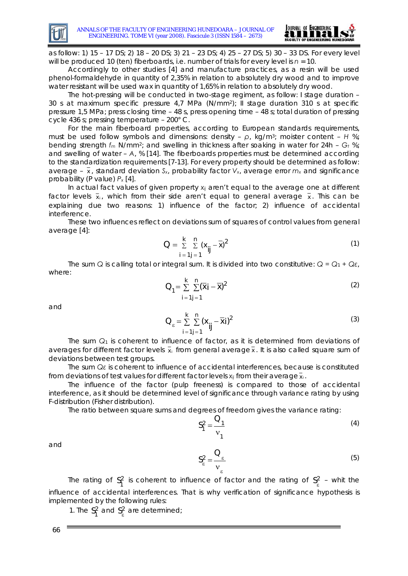



as follow: 1) 15 – 17 DS; 2) 18 – 20 DS; 3) 21 – 23 DS; 4) 25 – 27 DS; 5) 30 – 33 DS. For every level will be produced 10 (ten) fiberboards, i.e. number of trials for every level is *n* = 10.

Accordingly to other studies [4] and manufacture practices, as a resin will be used phenol-formaldehyde in quantity of 2,35% in relation to absolutely dry wood and to improve water resistant will be used wax in quantity of 1,65% in relation to absolutely dry wood.

The hot-pressing will be conducted in two-stage regiment, as follow: I stage duration – 30 s at maximum specific pressure 4,7 MPa (N/mm2); II stage duration 310 s at specific pressure 1,5 MPa; press closing time – 48 s, press opening time – 48 s; total duration of pressing cycle 436 s; pressing temperature – 200° C.

For the main fiberboard properties, according to European standards requirements, must be used follow symbols and dimensions: density – *ρ*, kg/m3; moister content – *H* %; bending strength *fm* N/mm2; and swelling in thickness after soaking in water for 24h – *Gt* %; and swelling of water – *A*, % [14]. The fiberboards properties must be determined according to the standardization requirements [7-13]. For every property should be determined as follow: average –  $\overline{x}$ , standard deviation  $S_x$ , probability factor  $V_x$ , average error  $m_x$  and significance probability (P value) *Px* [4].

In actual fact values of given property *xij* aren't equal to the average one at different factor levels  $\bar{x}_i$ , which from their side aren't equal to general average  $\bar{x}$ . This can be explaining due two reasons: 1) influence of the factor; 2) influence of accidental interference.

These two influences reflect on deviations sum of squares of control values from general average [4]:

$$
Q = \sum_{i=1}^{k} \sum_{j=1}^{n} (x_{ij} - \overline{x})^2
$$
 (1)

The sum *Q* is calling total or integral sum. It is divided into two constitutive: *Q = Q*1 *+ Qε*, where:

$$
Q_{1} = \sum_{i=1}^{k} \sum_{j=1}^{n} (\overline{x}_{i} - \overline{x})^{2}
$$
 (2)

and

$$
Q_{\varepsilon} = \sum_{i=1}^{k} \sum_{j=1}^{n} (x_{ij} - \overline{x}_i)^2
$$
 (3)

The sum  $Q_1$  is coherent to influence of factor, as it is determined from deviations of averages for different factor levels  $\bar{x}_i$  from general average  $\bar{x}$ . It is also called square sum of deviations between test groups.

The sum *Qε* is coherent to influence of accidental interferences, because is constituted from deviations of test values for different factor levels  $x_{ij}$  from their average  $\bar{x}_i$ .

The influence of the factor (pulp freeness) is compared to those of accidental interference, as it should be determined level of significance through variance rating by using F-distribution (Fisher distribution).

The ratio between square sums and degrees of freedom gives the variance rating:

$$
S_1^2 = \frac{Q_1}{v_1}
$$
 (4)

and

$$
S_{\varepsilon}^{2} = \frac{Q_{\varepsilon}}{v_{\varepsilon}}
$$
 (5)

The rating of  $S_1^2$  is coherent to influence of factor and the rating of  $S^2$  – whit the influence of accidental interferences. That is why verification of significance hypothesis is implemented by the following rules:  $S_1^2$  is coherent to influence of factor and the rating of  $S_\epsilon^2$ 

1. The  $S_1^2$  and  $S_2^2$  are determined;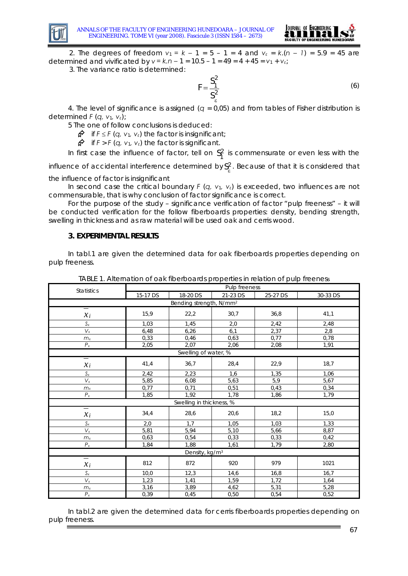



2. The degrees of freedom *ν*<sup>1</sup> *= k –* 1 = 5 – 1 = 4 and *νε* = *k*.(*n – 1*) = 5.9 = 45 are determined and vivificated by *ν = k.n –* 1 = 10.5 – 1 = 49 = 4 + 45 = *ν*1 + *νε*;

3. The variance ratio is determined:

$$
F = \frac{S_1^2}{S_\varepsilon^2} \tag{6}
$$

4. The level of significance is assigned (*q* = 0,05) and from tables of Fisher distribution is determined *F* (*q, ν*1*, νε*);

5 The one of follow conclusions is deduced:

¬ if *F* ≤ *F* (*q, ν*1*, νε*) the factor is insignificant;

 $\mathbf{\hat{F}}$  if  $F > F$  (*q, v*<sub>1</sub>, *v*<sub>ε</sub>) the factor is significant.

In first case the influence of factor, tell on  $S_1^2$  is commensurate or even less with the  $S_1^2$ 

influence of accidental interference determined by  $S^2_\varepsilon$ . Because of that it is considered that the influence of factor is insignificant

In second case the critical boundary *F* (*q, ν*1*, νε*) is exceeded, two influences are not commensurable, that is why conclusion of factor significance is correct.

For the purpose of the study – significance verification of factor "pulp freeness" – it will be conducted verification for the follow fiberboards properties: density, bending strength, swelling in thickness and as raw material will be used oak and cerris wood.

### **3. EXPERIMENTAL RESULTS**

In tabl.1 are given the determined data for oak fiberboards properties depending on pulp freeness.

| <b>Statistics</b>         | Pulp freeness |                                     |          |          |          |  |
|---------------------------|---------------|-------------------------------------|----------|----------|----------|--|
|                           | 15-17 DS      | 18-20 DS                            | 21-23 DS | 25-27 DS | 30-33 DS |  |
|                           |               | Bending strength, N/mm <sup>2</sup> |          |          |          |  |
| Ξ<br>$x_i$                | 15,9          | 22,2                                | 30,7     | 36,8     | 41,1     |  |
| $S_{x}$                   | 1,03          | 1,45                                | 2,0      | 2,42     | 2,48     |  |
| $\mathsf{V}_{\mathsf{x}}$ | 6,48          | 6,26                                | 6,1      | 2,37     | 2,8      |  |
| m <sub>x</sub>            | 0,33          | 0,46                                | 0,63     | 0,77     | 0,78     |  |
| $P_x$                     | 2,05          | 2,07                                | 2,06     | 2,08     | 1,91     |  |
|                           |               | Swelling of water, %                |          |          |          |  |
| $x_i$                     | 41,4          | 36,7                                | 28,4     | 22,9     | 18,7     |  |
| $\mathsf{S}\mathrm{x}$    | 2,42          | 2,23                                | 1,6      | 1,35     | 1,06     |  |
| $\mathsf{V}_{\mathsf{x}}$ | 5,85          | 6,08                                | 5,63     | 5,9      | 5,67     |  |
| m <sub>x</sub>            | 0,77          | 0,71                                | 0,51     | 0,43     | 0,34     |  |
| $P_{x}$                   | 1,85          | 1,92                                | 1,78     | 1,86     | 1,79     |  |
|                           |               | Swelling in thickness, %            |          |          |          |  |
| =<br>$\mathcal{X}_i$      | 34,4          | 28,6                                | 20,6     | 18,2     | 15,0     |  |
| $S_{x}$                   | 2,0           | 1,7                                 | 1.05     | 1.03     | 1,33     |  |
| $\mathsf{V}_{\mathsf{x}}$ | 5.81          | 5,94                                | 5,10     | 5,66     | 8,87     |  |
| m <sub>x</sub>            | 0,63          | 0,54                                | 0,33     | 0,33     | 0,42     |  |
| $P_{\rm x}$               | 1,84          | 1,88                                | 1,61     | 1,79     | 2,80     |  |
|                           |               | Density, kg/m <sup>3</sup>          |          |          |          |  |
| $=$<br>$x_i$              | 812           | 872                                 | 920      | 979      | 1021     |  |
| $S_{x}$                   | 10,0          | 12,3                                | 14,6     | 16,8     | 16,7     |  |
| $\mathsf{V}_{\mathsf{x}}$ | 1,23          | 1,41                                | 1,59     | 1,72     | 1,64     |  |
| m <sub>x</sub>            | 3,16          | 3,89                                | 4,62     | 5,31     | 5,28     |  |
| $P_{x}$                   | 0,39          | 0,45                                | 0,50     | 0,54     | 0,52     |  |

TABLE 1. Alternation of oak fiberboards properties in relation of pulp freeness

In tabl.2 are given the determined data for cerris fiberboards properties depending on pulp freeness.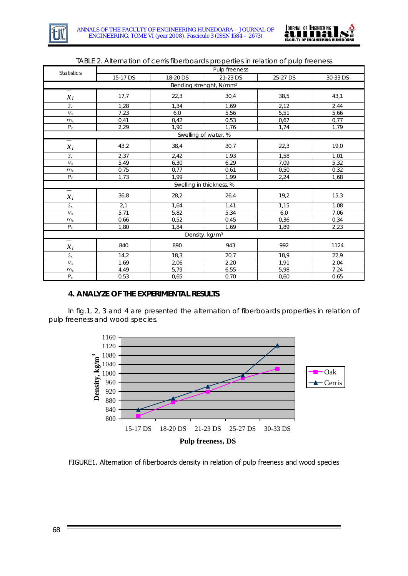



| <b>Statistics</b>                   | Pulp freeness |          |          |          |          |  |  |  |
|-------------------------------------|---------------|----------|----------|----------|----------|--|--|--|
|                                     | 15-17 DS      | 18-20 DS | 21-23 DS | 25-27 DS | 30-33 DS |  |  |  |
| Bending strenght, N/mm <sup>2</sup> |               |          |          |          |          |  |  |  |
| I<br>$x_i$                          | 17,7          | 22,3     | 30,4     | 38,5     | 43,1     |  |  |  |
| $\mathsf{S}\mathrm{x}$              | 1,28          | 1,34     | 1,69     | 2,12     | 2,44     |  |  |  |
| $V_{x}$                             | 7,23          | 6,0      | 5,56     | 5,51     | 5,66     |  |  |  |
| m <sub>x</sub>                      | 0,41          | 0,42     | 0,53     | 0,67     | 0,77     |  |  |  |
| $P_{x}$                             | 2,29          | 1,90     | 1,76     | 1,74     | 1,79     |  |  |  |
| Swelling of water, %                |               |          |          |          |          |  |  |  |
| Ξ<br>$x_i$                          | 43,2          | 38,4     | 30,7     | 22,3     | 19,0     |  |  |  |
| $S_{x}$                             | 2,37          | 2,42     | 1,93     | 1,58     | 1.01     |  |  |  |
| $\mathsf{V}_{\mathsf{x}}$           | 5,49          | 6,30     | 6,29     | 7,09     | 5,32     |  |  |  |
| m <sub>x</sub>                      | 0,75          | 0,77     | 0,61     | 0,50     | 0,32     |  |  |  |
| $P_{x}$                             | 1,73          | 1.99     | 1.99     | 2,24     | 1,68     |  |  |  |
| Swelling in thickness, %            |               |          |          |          |          |  |  |  |
| Ī<br>$xi$ i                         | 36,8          | 28,2     | 26,4     | 19,2     | 15,3     |  |  |  |
| $\mathsf{S}\mathrm{x}$              | 2,1           | 1,64     | 1,41     | 1,15     | 1,08     |  |  |  |
| $\mathsf{V}_{\mathsf{x}}$           | 5,71          | 5,82     | 5,34     | 6,0      | 7,06     |  |  |  |
| m <sub>x</sub>                      | 0,66          | 0,52     | 0,45     | 0,36     | 0,34     |  |  |  |
| $P_{x}$                             | 1,80          | 1,84     | 1,69     | 1,89     | 2,23     |  |  |  |
| Density, kg/m <sup>3</sup>          |               |          |          |          |          |  |  |  |
| $=$<br>$x_i$                        | 840           | 890      | 943      | 992      | 1124     |  |  |  |
| $S_{x}$                             | 14,2          | 18,3     | 20,7     | 18,9     | 22,9     |  |  |  |
| $\mathsf{V}_{\mathsf{x}}$           | 1.69          | 2,06     | 2,20     | 1,91     | 2,04     |  |  |  |
| $m_{x}$                             | 4,49          | 5,79     | 6,55     | 5,98     | 7,24     |  |  |  |
| $P_{\rm x}$                         | 0,53          | 0,65     | 0,70     | 0,60     | 0,65     |  |  |  |

#### TABLE 2. Alternation of cerris fiberboards properties in relation of pulp freeness

## **4. ANALYZE OF THE EXPERIMENTAL RESULTS**

In fig.1, 2, 3 and 4 are presented the alternation of fiberboards properties in relation of pulp freeness and wood species.



FIGURE1. Alternation of fiberboards density in relation of pulp freeness and wood species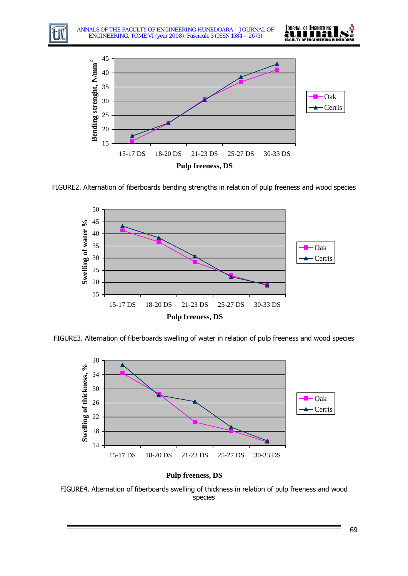

ANNALS OF THE FACULTY OF ENGINEERING HUNEDOARA – JOURNAL OF ENGINEERING. TOME VI (year 2008). Fascicule 3 (ISSN 1584 – 2673)





FIGURE2. Alternation of fiberboards bending strengths in relation of pulp freeness and wood species



FIGURE3. Alternation of fiberboards swelling of water in relation of pulp freeness and wood species





FIGURE4. Alternation of fiberboards swelling of thickness in relation of pulp freeness and wood species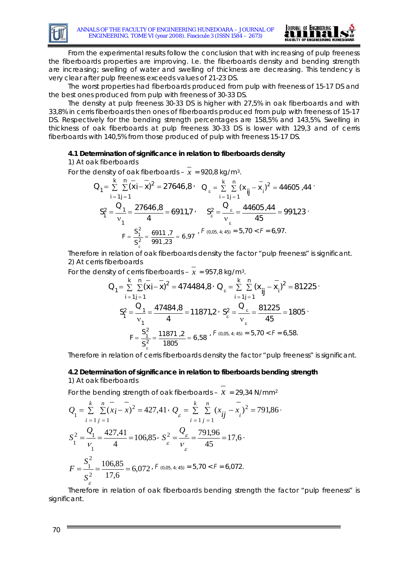

From the experimental results follow the conclusion that with increasing of pulp freeness the fiberboards properties are improving. I.e. the fiberboards density and bending strength are increasing; swelling of water and swelling of thickness are decreasing. This tendency is very clear after pulp freeness exceeds values of 21-23 DS.

The worst properties had fiberboards produced from pulp with freeness of 15-17 DS and the best ones produced from pulp with freeness of 30-33 DS.

The density at pulp freeness 30-33 DS is higher with 27,5% in oak fiberboards and with 33,8% in cerris fiberboards then ones of fiberboards produced from pulp with freeness of 15-17 DS. Respectively for the bending strength percentages are 158,5% and 143,5%. Swelling in thickness of oak fiberboards at pulp freeness 30-33 DS is lower with 129,3 and of cerris fiberboards with 140,5% from those produced of pulp with freeness 15-17 DS.

#### **4.1 Determination of significance in relation to fiberboards density**

### 1) At oak fiberboards

For the density of oak fiberboards –  $\bar{x}$  = 920,8 kg/m<sup>3</sup>.

$$
Q_{1} = \sum_{i=1}^{k} \sum_{j=1}^{n} (x_{i} - x_{j})^{2} = 27646.8 \qquad Q_{\epsilon} = \sum_{i=1}^{k} \sum_{j=1}^{n} (x_{ij} - x_{i})^{2} = 44605.44 \qquad (2.5)
$$
  

$$
S_{1}^{2} = \frac{Q_{1}}{v_{1}} = \frac{27646.8}{4} = 6911.7 \qquad S_{\epsilon}^{2} = \frac{Q_{\epsilon}}{v_{\epsilon}} = \frac{44605.44}{45} = 991.23 \qquad (3.5)
$$
  

$$
F = \frac{S_{1}^{2}}{S_{2}^{2}} = \frac{6911.7}{991.23} = 6.97 \qquad (5 \quad (0.05.4; 45) = 5.70 < F = 6.97.
$$

ε Therefore in relation of oak fiberboards density the factor "pulp freeness" is significant. 2) At cerris fiberboards

For the density of cerris fiberboards –  $\bar{x}$  = 957,8 kg/m<sup>3</sup>.

$$
Q_{1} = \sum_{i=1}^{k} \sum_{j=1}^{n} (x_{i} - x_{j})^{2} = 474484.8 \cdot Q_{\epsilon} = \sum_{i=1}^{k} \sum_{j=1}^{n} (x_{ij} - x_{i})^{2} = 81225 \cdot Z_{1} = \frac{Q_{1}}{v_{1}} = \frac{47484.8}{4} = 11871.2 \cdot S_{\epsilon}^{2} = \frac{Q_{\epsilon}}{v_{\epsilon}} = \frac{81225}{45} = 1805 \cdot Z_{\epsilon} = \frac{S_{1}^{2}}{S_{\epsilon}^{2}} = \frac{11871.2}{1805} = 6.58 \cdot Z_{\epsilon} = 5.70 \cdot Z = 6.58.
$$

Therefore in relation of cerris fiberboards density the factor "pulp freeness" is significant.

.

#### **4.2 Determination of significance in relation to fiberboards bending strength**  1) At oak fiberboards

For the bending strength of oak fiberboards -  $x = 29,34$  N/mm<sup>2</sup>

$$
Q_{1} = \sum_{i=1}^{k} \sum_{j=1}^{n} (x_{i} - \overline{x})^{2} = 427,41 \cdot Q_{\varepsilon} = \sum_{i=1}^{k} \sum_{j=1}^{n} (x_{ij} - \overline{x}_{i})^{2} = 791,86
$$
  

$$
S_{1}^{2} = \frac{Q_{1}}{V_{1}} = \frac{427,41}{4} = 106,85 \cdot S_{\varepsilon}^{2} = \frac{Q_{\varepsilon}}{V_{\varepsilon}} = \frac{791,96}{45} = 17,6
$$
  

$$
F = \frac{S_{1}^{2}}{S_{\varepsilon}^{2}} = \frac{106,85}{17,6} = 6,072 \cdot F \quad (0,05,4;45) = 5,70 < F = 6,072.
$$

Therefore in relation of oak fiberboards bending strength the factor "pulp freeness" is significant.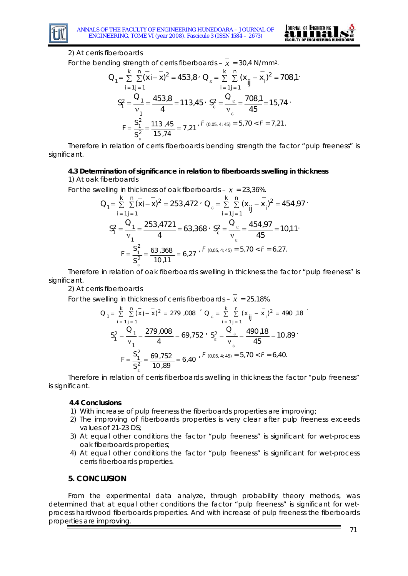

.

## 2) At cerris fiberboards

For the bending strength of cerris fiberboards –  $x = 30.4$  N/mm<sup>2</sup>.

$$
Q_{1} = \sum_{i=1}^{k} \sum_{j=1}^{n} (x_{i} - \overline{x})^{2} = 453.8 \cdot Q_{\epsilon} = \sum_{i=1}^{k} \sum_{j=1}^{n} (x_{ij} - \overline{x}_{i})^{2} = 708.1 \cdot \sum_{i=1}^{n} (x_{ij} - \overline{x}_{i})^{2} = 708.1 \cdot \sum_{i=1}^{n} (x_{ij} - \overline{x}_{i})^{2} = 708.1 \cdot \sum_{i=1}^{n} (x_{ij} - \overline{x}_{i})^{2} = 708.1 \cdot \sum_{i=1}^{n} (x_{ij} - \overline{x}_{i})^{2} = 708.1 \cdot \sum_{i=1}^{n} (x_{ij} - \overline{x}_{i})^{2} = 708.1 \cdot \sum_{i=1}^{n} (x_{ij} - \overline{x}_{i})^{2} = 708.1 \cdot \sum_{i=1}^{n} (x_{ij} - \overline{x}_{i})^{2} = 708.1 \cdot \sum_{i=1}^{n} (x_{ij} - \overline{x}_{i})^{2} = 708.1 \cdot \sum_{i=1}^{n} (x_{ij} - \overline{x}_{i})^{2} = 708.1 \cdot \sum_{i=1}^{n} (x_{ij} - \overline{x}_{i})^{2} = 708.1 \cdot \sum_{i=1}^{n} (x_{ij} - \overline{x}_{i})^{2} = 708.1 \cdot \sum_{i=1}^{n} (x_{ij} - \overline{x}_{i})^{2} = 708.1 \cdot \sum_{i=1}^{n} (x_{ij} - \overline{x}_{i})^{2} = 708.1 \cdot \sum_{i=1}^{n} (x_{ij} - \overline{x}_{i})^{2} = 708.1 \cdot \sum_{i=1}^{n} (x_{ij} - \overline{x}_{i})^{2} = 708.1 \cdot \sum_{i=1}^{n} (x_{ij} - \overline{x}_{i})^{2} = 708.1 \cdot \sum_{i=1}^{n} (x_{ij} - \overline{x}_{i})^{2} = 708.1 \cdot \sum_{i=1}^{n} (x_{ij} - \overline{x}_{i})^{2} = 708.1 \cdot \sum_{i=1}^{n} (x_{ij} - \overline{x}_{i})^{2} = 70
$$

Therefore in relation of cerris fiberboards bending strength the factor "pulp freeness" is significant.

## **4.3 Determination of significance in relation to fiberboards swelling in thickness**

1) At oak fiberboards

For the swelling in thickness of oak fiberboards –  $x = 23,36\%$ .

$$
Q_{1} = \sum_{i=1}^{k} \sum_{j=1}^{n} (x_{i} - x)^{2} = 253,472 \cdot Q_{\epsilon} = \sum_{i=1}^{k} \sum_{j=1}^{n} (x_{ij} - x_{i})^{2} = 454,97 \cdot Z_{1} = \frac{Q_{1}}{v_{1}} = \frac{253,4721}{4} = 63,368 \cdot S_{\epsilon}^{2} = \frac{Q_{\epsilon}}{v_{\epsilon}} = \frac{454,97}{45} = 10,11 \cdot Z_{\epsilon} = \frac{S_{1}^{2}}{S_{\epsilon}^{2}} = \frac{63,368}{10,11} = 6,27 \cdot Z_{\epsilon} = 5,70 < Z = 6,27.
$$

Therefore in relation of oak fiberboards swelling in thickness the factor "pulp freeness" is significant.

2) At cerris fiberboards

For the swelling in thickness of cerris fiberboards –  $x = 25.18\%$ .

$$
Q_{1} = \sum_{i=1}^{k} \sum_{j=1}^{n} (\overline{x}_{i} - \overline{x}_{j})^{2} = 279,008 \quad Q_{\epsilon} = \sum_{i=1}^{k} \sum_{j=1}^{n} (x_{ij} - \overline{x}_{i})^{2} = 490,18
$$
  

$$
S_{1}^{2} = \frac{Q_{1}}{v_{1}} = \frac{279,008}{4} = 69,752 \quad S_{\epsilon}^{2} = \frac{Q_{\epsilon}}{v_{\epsilon}} = \frac{490,18}{45} = 10,89
$$
  

$$
F = \frac{S_{1}^{2}}{S_{\epsilon}^{2}} = \frac{69,752}{10,89} = 6,40 \quad F \text{ (0,05, 4; 45)} = 5,70 < F = 6,40.
$$

Therefore in relation of cerris fiberboards swelling in thickness the factor "pulp freeness" is significant.

## **4.4 Conclusions**

- 1) With increase of pulp freeness the fiberboards properties are improving;
- 2) The improving of fiberboards properties is very clear after pulp freeness exceeds values of 21-23 DS;
- 3) At equal other conditions the factor "pulp freeness" is significant for wet-process oak fiberboards properties;
- 4) At equal other conditions the factor "pulp freeness" is significant for wet-process cerris fiberboards properties.

## **5. CONCLUSION**

From the experimental data analyze, through probability theory methods, was determined that at equal other conditions the factor "pulp freeness" is significant for wetprocess hardwood fiberboards properties. And with increase of pulp freeness the fiberboards properties are improving.